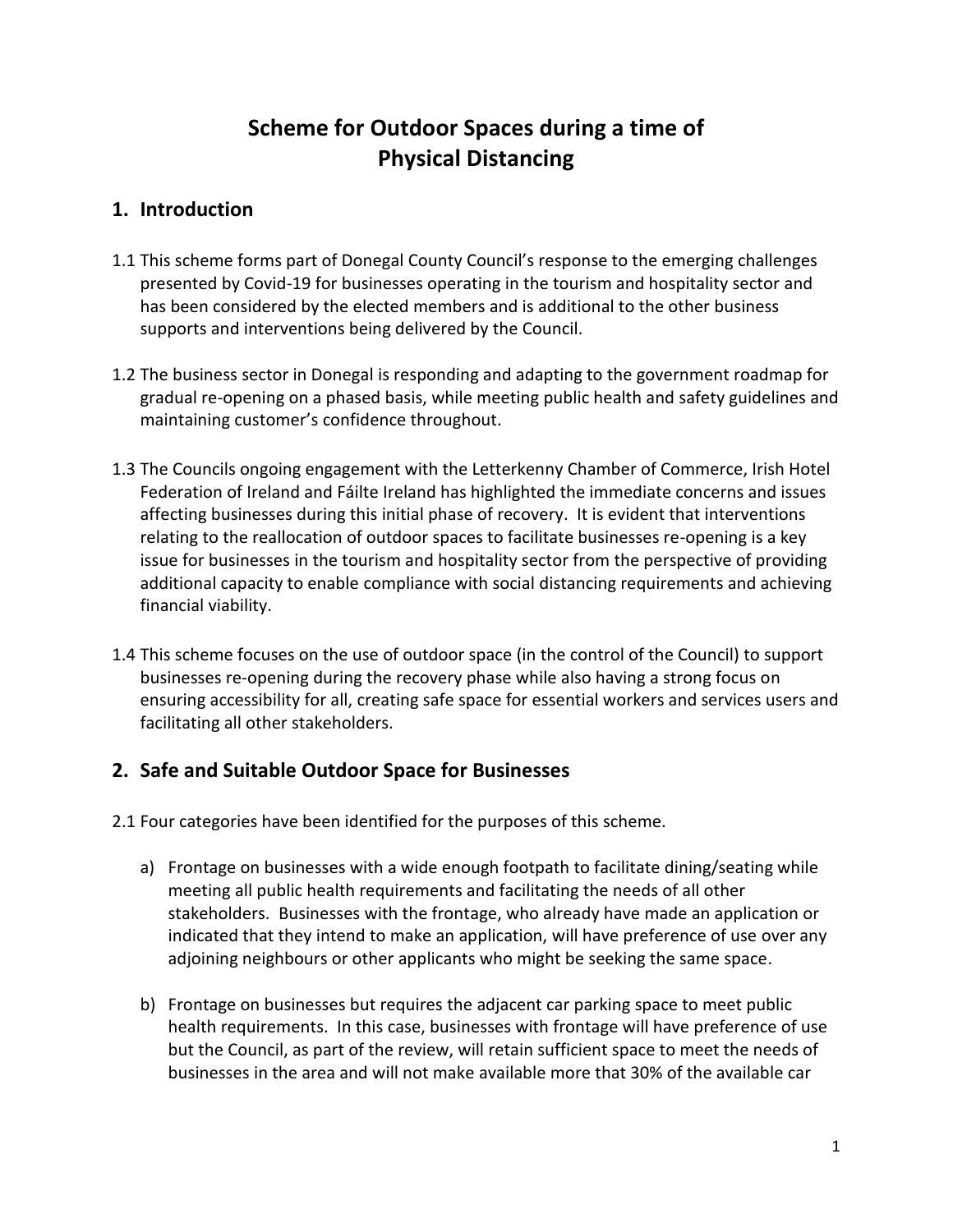## **Scheme for Outdoor Spaces during a time of Physical Distancing**

#### **1. Introduction**

- 1.1 This scheme forms part of Donegal County Council's response to the emerging challenges presented by Covid-19 for businesses operating in the tourism and hospitality sector and has been considered by the elected members and is additional to the other business supports and interventions being delivered by the Council.
- 1.2 The business sector in Donegal is responding and adapting to the government roadmap for gradual re-opening on a phased basis, while meeting public health and safety guidelines and maintaining customer's confidence throughout.
- 1.3 The Councils ongoing engagement with the Letterkenny Chamber of Commerce, Irish Hotel Federation of Ireland and Fáilte Ireland has highlighted the immediate concerns and issues affecting businesses during this initial phase of recovery. It is evident that interventions relating to the reallocation of outdoor spaces to facilitate businesses re-opening is a key issue for businesses in the tourism and hospitality sector from the perspective of providing additional capacity to enable compliance with social distancing requirements and achieving financial viability.
- 1.4 This scheme focuses on the use of outdoor space (in the control of the Council) to support businesses re-opening during the recovery phase while also having a strong focus on ensuring accessibility for all, creating safe space for essential workers and services users and facilitating all other stakeholders.

### **2. Safe and Suitable Outdoor Space for Businesses**

2.1 Four categories have been identified for the purposes of this scheme.

- a) Frontage on businesses with a wide enough footpath to facilitate dining/seating while meeting all public health requirements and facilitating the needs of all other stakeholders. Businesses with the frontage, who already have made an application or indicated that they intend to make an application, will have preference of use over any adjoining neighbours or other applicants who might be seeking the same space.
- b) Frontage on businesses but requires the adjacent car parking space to meet public health requirements. In this case, businesses with frontage will have preference of use but the Council, as part of the review, will retain sufficient space to meet the needs of businesses in the area and will not make available more that 30% of the available car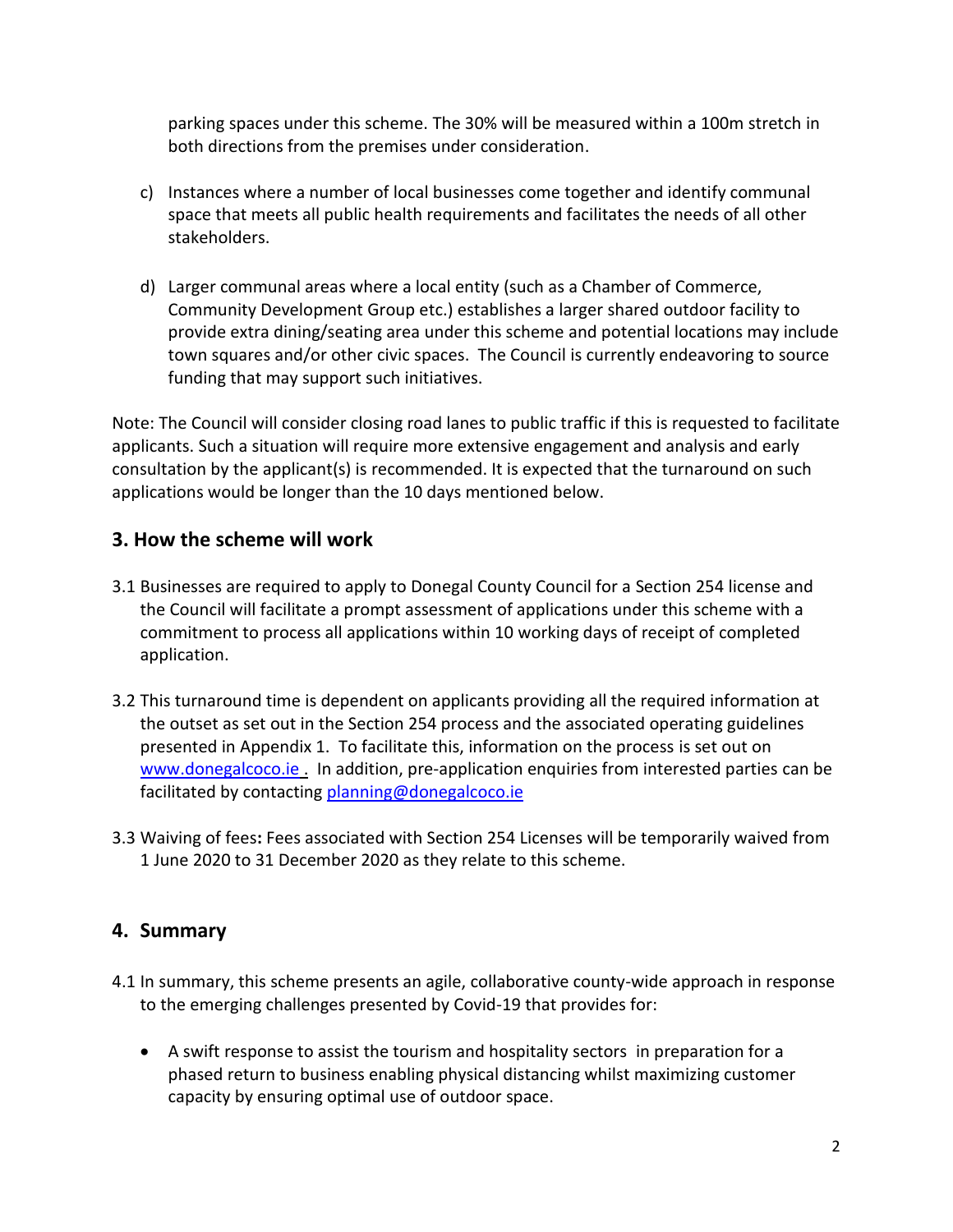parking spaces under this scheme. The 30% will be measured within a 100m stretch in both directions from the premises under consideration.

- c) Instances where a number of local businesses come together and identify communal space that meets all public health requirements and facilitates the needs of all other stakeholders.
- d) Larger communal areas where a local entity (such as a Chamber of Commerce, Community Development Group etc.) establishes a larger shared outdoor facility to provide extra dining/seating area under this scheme and potential locations may include town squares and/or other civic spaces. The Council is currently endeavoring to source funding that may support such initiatives.

Note: The Council will consider closing road lanes to public traffic if this is requested to facilitate applicants. Such a situation will require more extensive engagement and analysis and early consultation by the applicant(s) is recommended. It is expected that the turnaround on such applications would be longer than the 10 days mentioned below.

### **3. How the scheme will work**

- 3.1 Businesses are required to apply to Donegal County Council for a Section 254 license and the Council will facilitate a prompt assessment of applications under this scheme with a commitment to process all applications within 10 working days of receipt of completed application.
- 3.2 This turnaround time is dependent on applicants providing all the required information at the outset as set out in the Section 254 process and the associated operating guidelines presented in Appendix 1. To facilitate this, information on the process is set out on [www.donegalcoco.ie](http://www.donegalcoco.ie/) . In addition, pre-application enquiries from interested parties can be facilitated by contacting [planning@donegalcoco.ie](mailto:planning@donegalcoco.ie)
- 3.3 Waiving of fees**:** Fees associated with Section 254 Licenses will be temporarily waived from 1 June 2020 to 31 December 2020 as they relate to this scheme.

### **4. Summary**

- 4.1 In summary, this scheme presents an agile, collaborative county-wide approach in response to the emerging challenges presented by Covid-19 that provides for:
	- A swift response to assist the tourism and hospitality sectors in preparation for a phased return to business enabling physical distancing whilst maximizing customer capacity by ensuring optimal use of outdoor space.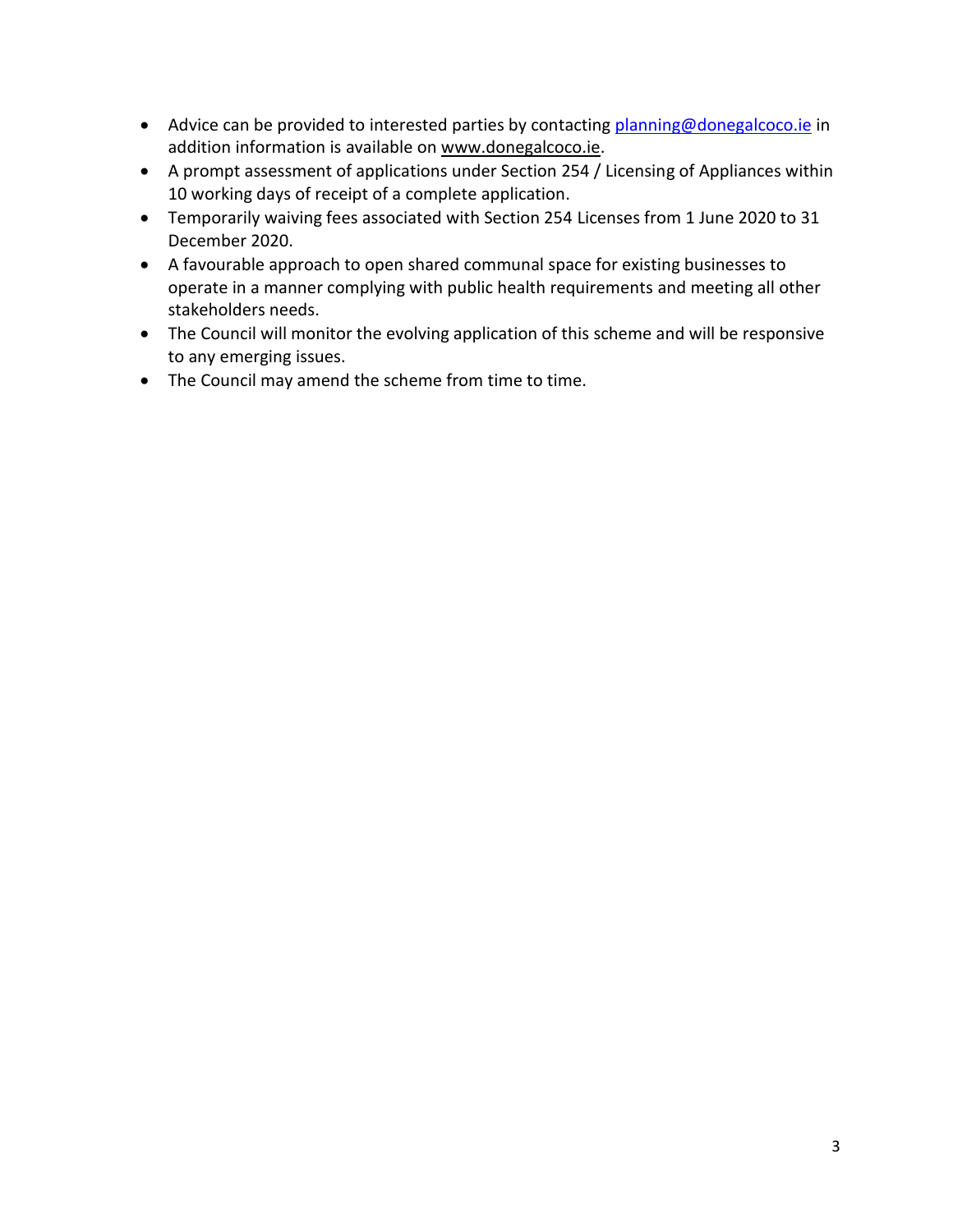- Advice can be provided to interested parties by contacting [planning@donegalcoco.ie](mailto:planning@donegalcoco.ie) in addition information is available on [www.donegalcoco.ie.](http://www.donegalcoco.ie/)
- A prompt assessment of applications under Section 254 / Licensing of Appliances within 10 working days of receipt of a complete application.
- Temporarily waiving fees associated with Section 254 Licenses from 1 June 2020 to 31 December 2020.
- A favourable approach to open shared communal space for existing businesses to operate in a manner complying with public health requirements and meeting all other stakeholders needs.
- The Council will monitor the evolving application of this scheme and will be responsive to any emerging issues.
- The Council may amend the scheme from time to time.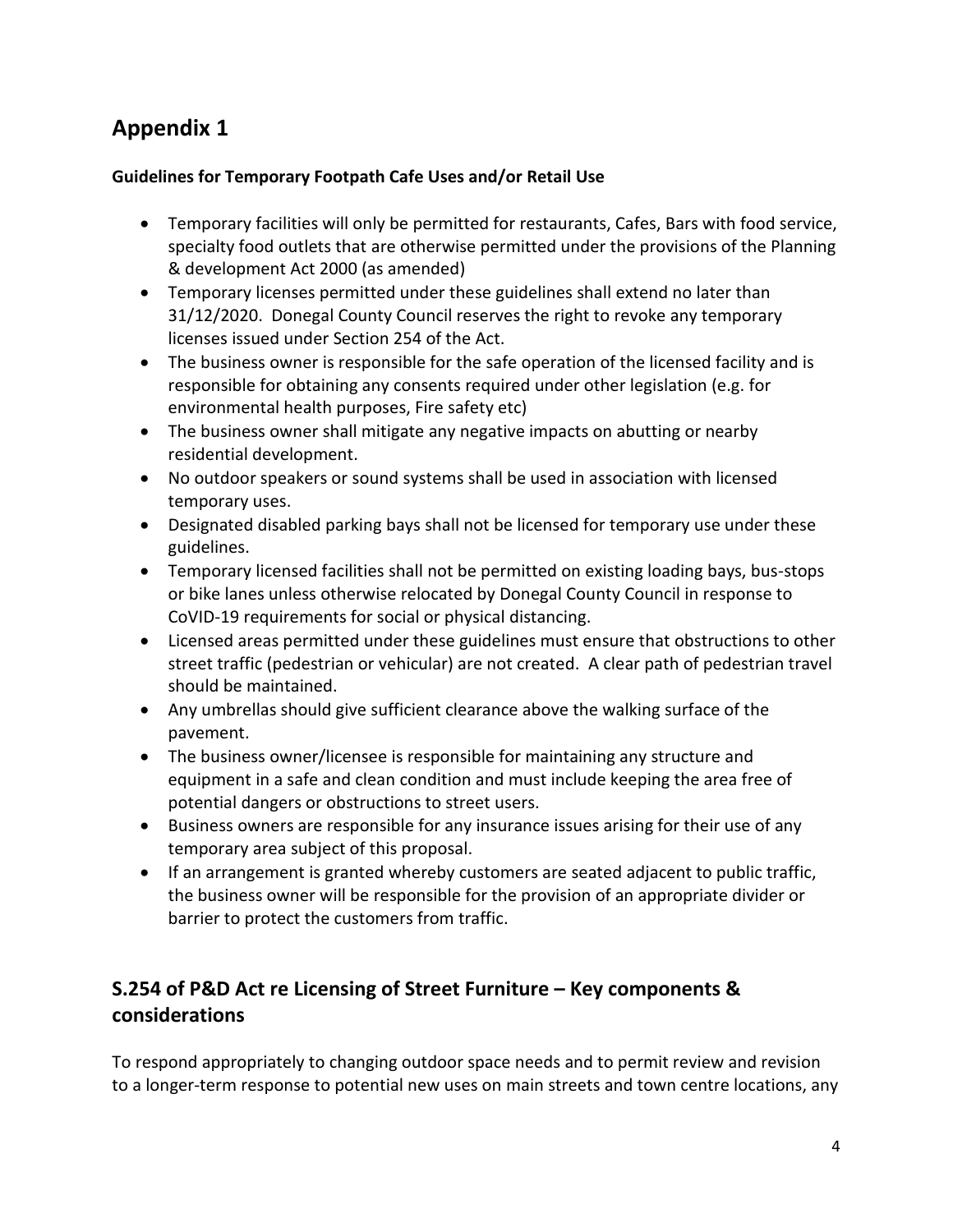# **Appendix 1**

#### **Guidelines for Temporary Footpath Cafe Uses and/or Retail Use**

- Temporary facilities will only be permitted for restaurants, Cafes, Bars with food service, specialty food outlets that are otherwise permitted under the provisions of the Planning & development Act 2000 (as amended)
- Temporary licenses permitted under these guidelines shall extend no later than 31/12/2020. Donegal County Council reserves the right to revoke any temporary licenses issued under Section 254 of the Act.
- The business owner is responsible for the safe operation of the licensed facility and is responsible for obtaining any consents required under other legislation (e.g. for environmental health purposes, Fire safety etc)
- The business owner shall mitigate any negative impacts on abutting or nearby residential development.
- No outdoor speakers or sound systems shall be used in association with licensed temporary uses.
- Designated disabled parking bays shall not be licensed for temporary use under these guidelines.
- Temporary licensed facilities shall not be permitted on existing loading bays, bus-stops or bike lanes unless otherwise relocated by Donegal County Council in response to CoVID-19 requirements for social or physical distancing.
- Licensed areas permitted under these guidelines must ensure that obstructions to other street traffic (pedestrian or vehicular) are not created. A clear path of pedestrian travel should be maintained.
- Any umbrellas should give sufficient clearance above the walking surface of the pavement.
- The business owner/licensee is responsible for maintaining any structure and equipment in a safe and clean condition and must include keeping the area free of potential dangers or obstructions to street users.
- Business owners are responsible for any insurance issues arising for their use of any temporary area subject of this proposal.
- If an arrangement is granted whereby customers are seated adjacent to public traffic, the business owner will be responsible for the provision of an appropriate divider or barrier to protect the customers from traffic.

### **S.254 of P&D Act re Licensing of Street Furniture – Key components & considerations**

To respond appropriately to changing outdoor space needs and to permit review and revision to a longer-term response to potential new uses on main streets and town centre locations, any